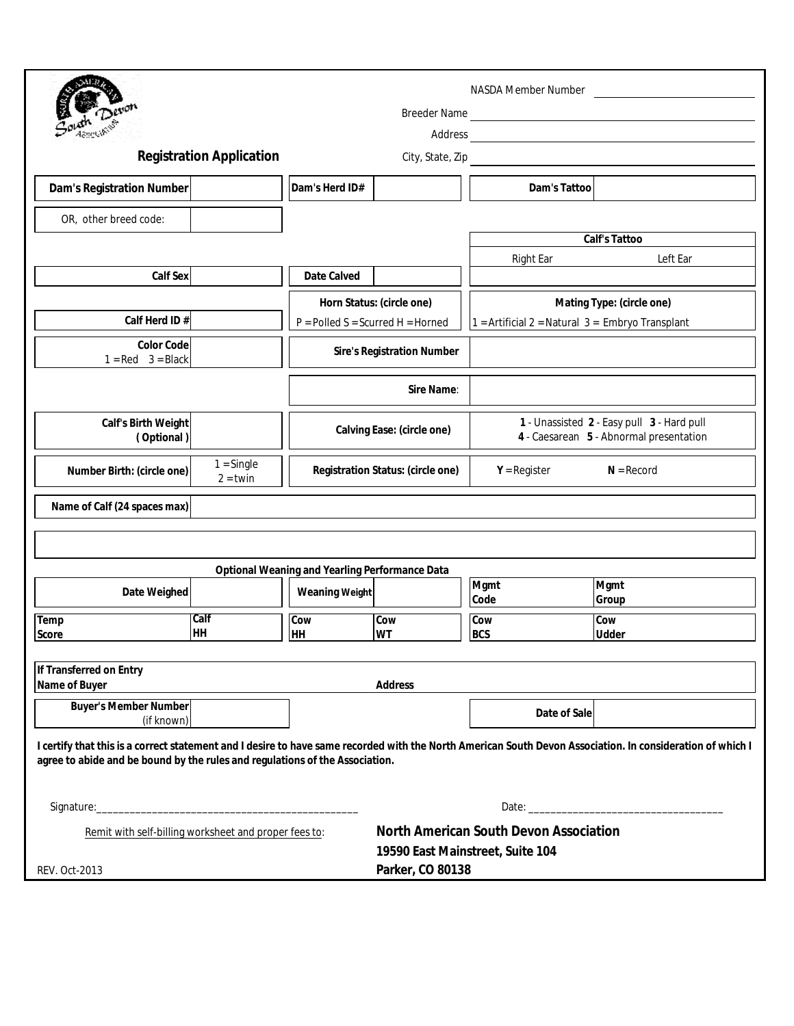|                                                                                                                                                                                                                                            |                            | <b>NASDA Member Number</b>          |                                                                                                                                                                                                                                     |                                                                                       |                     |  |
|--------------------------------------------------------------------------------------------------------------------------------------------------------------------------------------------------------------------------------------------|----------------------------|-------------------------------------|-------------------------------------------------------------------------------------------------------------------------------------------------------------------------------------------------------------------------------------|---------------------------------------------------------------------------------------|---------------------|--|
|                                                                                                                                                                                                                                            |                            |                                     | Address <b>Manual Manual Community of the Community</b> of the Community of the Community of the Community of the Community of the Community of the Community of the Community of the Community of the Community of the Community o |                                                                                       |                     |  |
| <b>Registration Application</b><br>City, State, Zip                                                                                                                                                                                        |                            |                                     |                                                                                                                                                                                                                                     |                                                                                       |                     |  |
| Dam's Registration Number                                                                                                                                                                                                                  |                            | Dam's Herd ID#                      |                                                                                                                                                                                                                                     | Dam's Tattoo                                                                          |                     |  |
| OR, other breed code:                                                                                                                                                                                                                      |                            |                                     |                                                                                                                                                                                                                                     |                                                                                       |                     |  |
|                                                                                                                                                                                                                                            |                            |                                     |                                                                                                                                                                                                                                     |                                                                                       | Calf's Tattoo       |  |
|                                                                                                                                                                                                                                            |                            |                                     |                                                                                                                                                                                                                                     | <b>Right Ear</b>                                                                      | Left Ear            |  |
| Calf Sex                                                                                                                                                                                                                                   |                            | Date Calved                         |                                                                                                                                                                                                                                     |                                                                                       |                     |  |
|                                                                                                                                                                                                                                            |                            | Horn Status: (circle one)           | Mating Type: (circle one)                                                                                                                                                                                                           |                                                                                       |                     |  |
| Calf Herd ID#                                                                                                                                                                                                                              |                            | $P =$ Polled S = Scurred H = Horned |                                                                                                                                                                                                                                     | $1 =$ Artificial 2 = Natural 3 = Embryo Transplant                                    |                     |  |
| <b>Color Code</b><br>$1 = Red$ $3 = Black$                                                                                                                                                                                                 |                            | <b>Sire's Registration Number</b>   |                                                                                                                                                                                                                                     |                                                                                       |                     |  |
|                                                                                                                                                                                                                                            |                            | Sire Name:                          |                                                                                                                                                                                                                                     |                                                                                       |                     |  |
| Calf's Birth Weight<br>(Optional)                                                                                                                                                                                                          |                            | Calving Ease: (circle one)          |                                                                                                                                                                                                                                     | 1 - Unassisted 2 - Easy pull 3 - Hard pull<br>4 - Caesarean 5 - Abnormal presentation |                     |  |
| Number Birth: (circle one)                                                                                                                                                                                                                 | $1 =$ Single<br>$2 =$ twin | Registration Status: (circle one)   |                                                                                                                                                                                                                                     | $Y = Register$<br>$N =$ Record                                                        |                     |  |
| Name of Calf (24 spaces max)                                                                                                                                                                                                               |                            |                                     |                                                                                                                                                                                                                                     |                                                                                       |                     |  |
|                                                                                                                                                                                                                                            |                            |                                     |                                                                                                                                                                                                                                     |                                                                                       |                     |  |
| Optional Weaning and Yearling Performance Data                                                                                                                                                                                             |                            |                                     |                                                                                                                                                                                                                                     |                                                                                       |                     |  |
| Date Weighed                                                                                                                                                                                                                               |                            | <b>Weaning Weight</b>               |                                                                                                                                                                                                                                     | Mgmt                                                                                  | Mgmt                |  |
|                                                                                                                                                                                                                                            |                            |                                     |                                                                                                                                                                                                                                     | Code                                                                                  | Group               |  |
| Temp<br>Score                                                                                                                                                                                                                              | Calf<br>HH                 | Cow<br>HH                           | Cow<br><b>WT</b>                                                                                                                                                                                                                    | Cow<br><b>BCS</b>                                                                     | Cow<br><b>Udder</b> |  |
|                                                                                                                                                                                                                                            |                            |                                     |                                                                                                                                                                                                                                     |                                                                                       |                     |  |
| If Transferred on Entry                                                                                                                                                                                                                    |                            |                                     |                                                                                                                                                                                                                                     |                                                                                       |                     |  |
| Name of Buyer<br><b>Address</b>                                                                                                                                                                                                            |                            |                                     |                                                                                                                                                                                                                                     |                                                                                       |                     |  |
| <b>Buyer's Member Number</b><br>(if known)                                                                                                                                                                                                 |                            |                                     |                                                                                                                                                                                                                                     | Date of Sale                                                                          |                     |  |
| I certify that this is a correct statement and I desire to have same recorded with the North American South Devon Association. In consideration of which I<br>agree to abide and be bound by the rules and regulations of the Association. |                            |                                     |                                                                                                                                                                                                                                     |                                                                                       |                     |  |
|                                                                                                                                                                                                                                            |                            |                                     |                                                                                                                                                                                                                                     |                                                                                       | Date:               |  |
| Remit with self-billing worksheet and proper fees to:                                                                                                                                                                                      |                            |                                     | <b>North American South Devon Association</b><br>19590 East Mainstreet, Suite 104                                                                                                                                                   |                                                                                       |                     |  |
| <b>REV. Oct-2013</b>                                                                                                                                                                                                                       |                            | Parker, CO 80138                    |                                                                                                                                                                                                                                     |                                                                                       |                     |  |